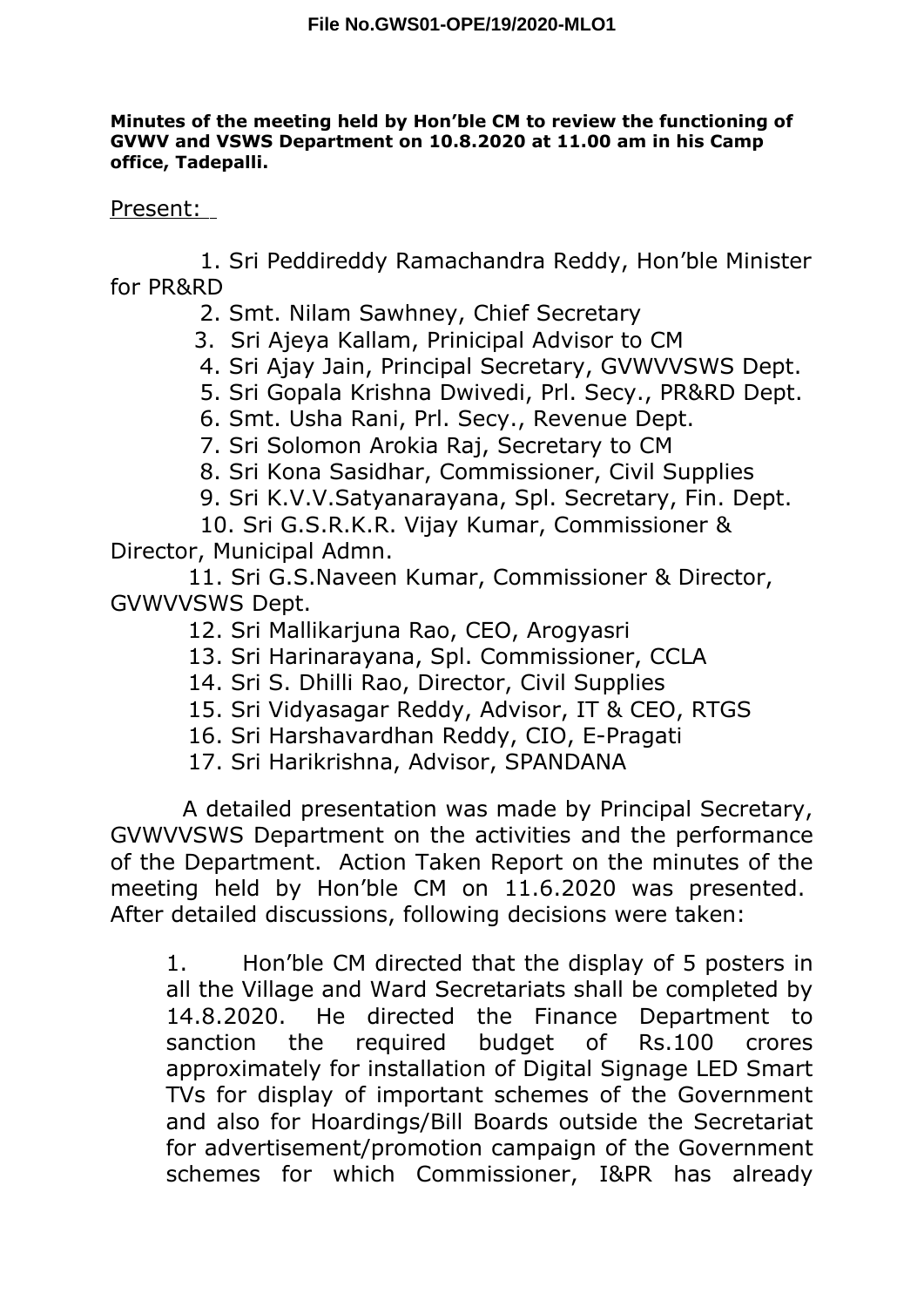## **Minutes of the meeting held by Hon'ble CM to review the functioning of GVWV and VSWS Department on 10.8.2020 at 11.00 am in his Camp office, Tadepalli.**

## Present:

1. Sri Peddireddy Ramachandra Reddy, Hon'ble Minister for PR&RD

- 2. Smt. Nilam Sawhney, Chief Secretary
- 3. Sri Ajeya Kallam, Prinicipal Advisor to CM
- 4. Sri Ajay Jain, Principal Secretary, GVWVVSWS Dept.
- 5. Sri Gopala Krishna Dwivedi, Prl. Secy., PR&RD Dept.
- 6. Smt. Usha Rani, Prl. Secy., Revenue Dept.
- 7. Sri Solomon Arokia Raj, Secretary to CM
- 8. Sri Kona Sasidhar, Commissioner, Civil Supplies
- 9. Sri K.V.V.Satyanarayana, Spl. Secretary, Fin. Dept.

10. Sri G.S.R.K.R. Vijay Kumar, Commissioner & Director, Municipal Admn.

11. Sri G.S.Naveen Kumar, Commissioner & Director, GVWVVSWS Dept.

- 12. Sri Mallikarjuna Rao, CEO, Arogyasri
- 13. Sri Harinarayana, Spl. Commissioner, CCLA
- 14. Sri S. Dhilli Rao, Director, Civil Supplies
- 15. Sri Vidyasagar Reddy, Advisor, IT & CEO, RTGS
- 16. Sri Harshavardhan Reddy, CIO, E-Pragati
- 17. Sri Harikrishna, Advisor, SPANDANA

A detailed presentation was made by Principal Secretary, GVWVVSWS Department on the activities and the performance of the Department. Action Taken Report on the minutes of the meeting held by Hon'ble CM on 11.6.2020 was presented. After detailed discussions, following decisions were taken:

1. Hon'ble CM directed that the display of 5 posters in all the Village and Ward Secretariats shall be completed by 14.8.2020. He directed the Finance Department to sanction the required budget of Rs.100 crores approximately for installation of Digital Signage LED Smart TVs for display of important schemes of the Government and also for Hoardings/Bill Boards outside the Secretariat for advertisement/promotion campaign of the Government schemes for which Commissioner, I&PR has already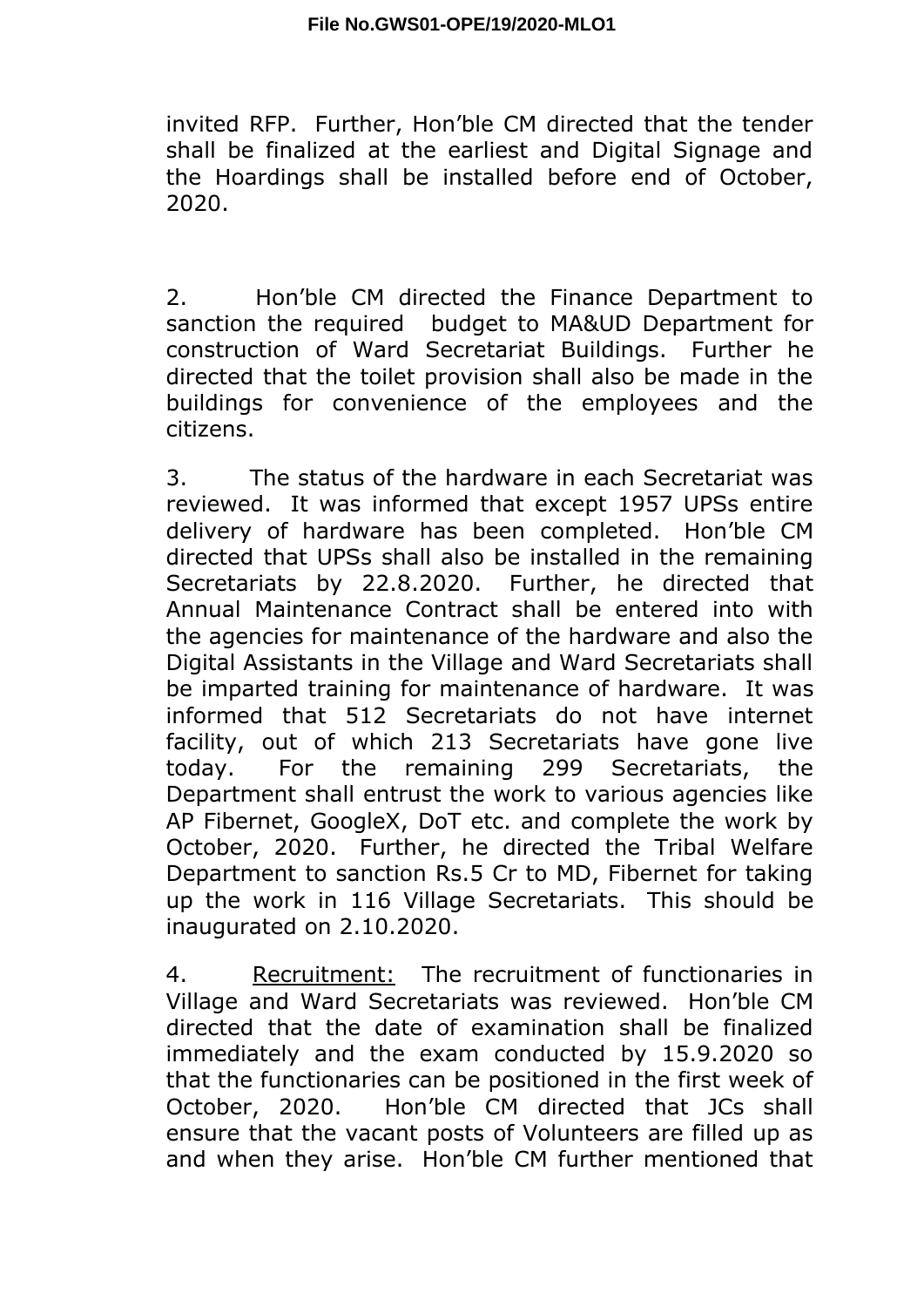invited RFP. Further, Hon'ble CM directed that the tender shall be finalized at the earliest and Digital Signage and the Hoardings shall be installed before end of October, 2020.

2. Hon'ble CM directed the Finance Department to sanction the required budget to MA&UD Department for construction of Ward Secretariat Buildings. Further he directed that the toilet provision shall also be made in the buildings for convenience of the employees and the citizens.

3. The status of the hardware in each Secretariat was reviewed. It was informed that except 1957 UPSs entire delivery of hardware has been completed. Hon'ble CM directed that UPSs shall also be installed in the remaining Secretariats by 22.8.2020. Further, he directed that Annual Maintenance Contract shall be entered into with the agencies for maintenance of the hardware and also the Digital Assistants in the Village and Ward Secretariats shall be imparted training for maintenance of hardware. It was informed that 512 Secretariats do not have internet facility, out of which 213 Secretariats have gone live today. For the remaining 299 Secretariats, the Department shall entrust the work to various agencies like AP Fibernet, GoogleX, DoT etc. and complete the work by October, 2020. Further, he directed the Tribal Welfare Department to sanction Rs.5 Cr to MD, Fibernet for taking up the work in 116 Village Secretariats. This should be inaugurated on 2.10.2020.

4. Recruitment: The recruitment of functionaries in Village and Ward Secretariats was reviewed. Hon'ble CM directed that the date of examination shall be finalized immediately and the exam conducted by 15.9.2020 so that the functionaries can be positioned in the first week of October, 2020. Hon'ble CM directed that JCs shall ensure that the vacant posts of Volunteers are filled up as and when they arise. Hon'ble CM further mentioned that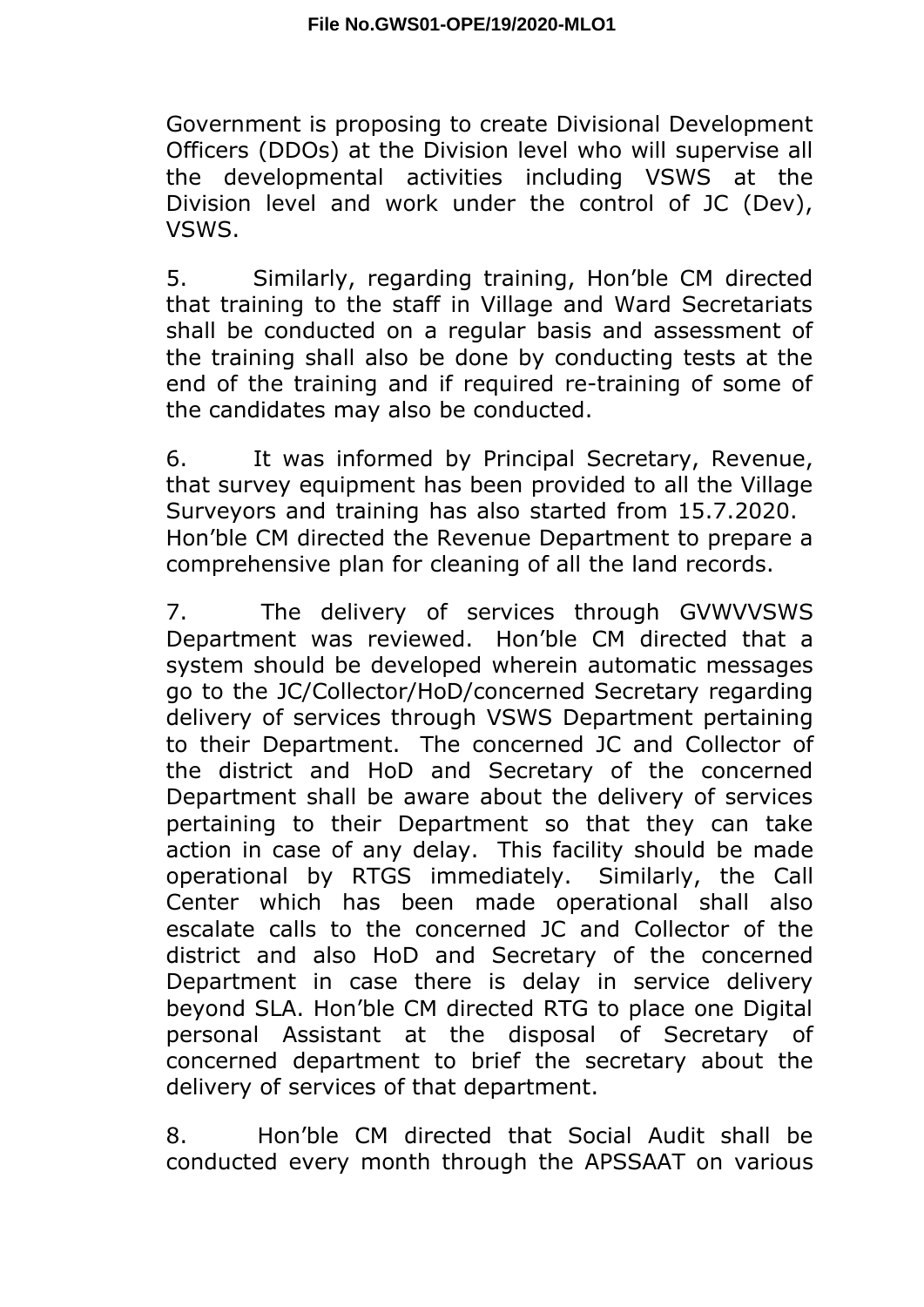Government is proposing to create Divisional Development Officers (DDOs) at the Division level who will supervise all the developmental activities including VSWS at the Division level and work under the control of JC (Dev), VSWS.

5. Similarly, regarding training, Hon'ble CM directed that training to the staff in Village and Ward Secretariats shall be conducted on a regular basis and assessment of the training shall also be done by conducting tests at the end of the training and if required re-training of some of the candidates may also be conducted.

6. It was informed by Principal Secretary, Revenue, that survey equipment has been provided to all the Village Surveyors and training has also started from 15.7.2020. Hon'ble CM directed the Revenue Department to prepare a comprehensive plan for cleaning of all the land records.

7. The delivery of services through GVWVVSWS Department was reviewed. Hon'ble CM directed that a system should be developed wherein automatic messages go to the JC/Collector/HoD/concerned Secretary regarding delivery of services through VSWS Department pertaining to their Department. The concerned JC and Collector of the district and HoD and Secretary of the concerned Department shall be aware about the delivery of services pertaining to their Department so that they can take action in case of any delay. This facility should be made operational by RTGS immediately. Similarly, the Call Center which has been made operational shall also escalate calls to the concerned JC and Collector of the district and also HoD and Secretary of the concerned Department in case there is delay in service delivery beyond SLA. Hon'ble CM directed RTG to place one Digital personal Assistant at the disposal of Secretary of concerned department to brief the secretary about the delivery of services of that department.

8. Hon'ble CM directed that Social Audit shall be conducted every month through the APSSAAT on various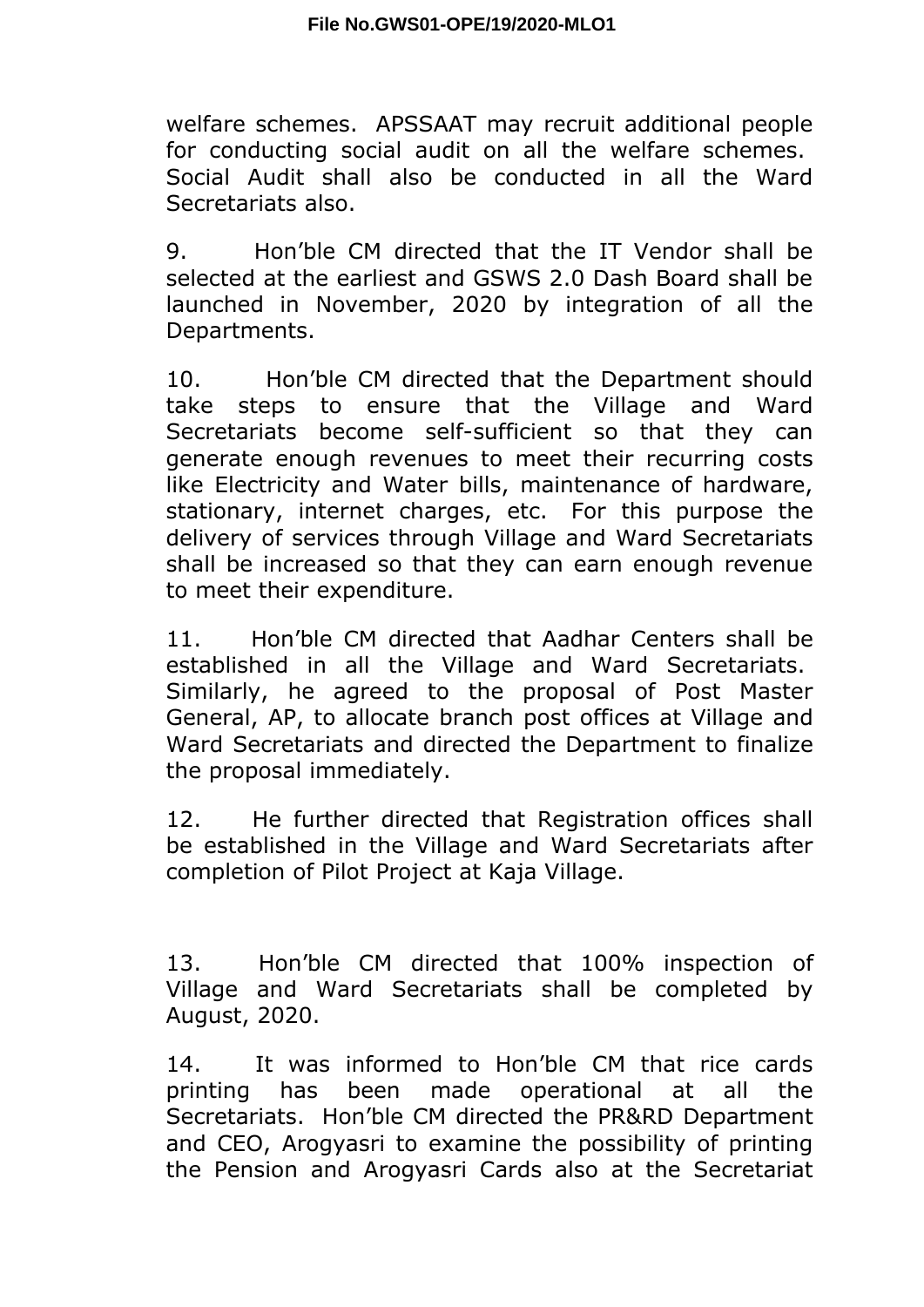welfare schemes. APSSAAT may recruit additional people for conducting social audit on all the welfare schemes. Social Audit shall also be conducted in all the Ward Secretariats also.

9. Hon'ble CM directed that the IT Vendor shall be selected at the earliest and GSWS 2.0 Dash Board shall be launched in November, 2020 by integration of all the Departments.

10. Hon'ble CM directed that the Department should take steps to ensure that the Village and Ward Secretariats become self-sufficient so that they can generate enough revenues to meet their recurring costs like Electricity and Water bills, maintenance of hardware, stationary, internet charges, etc. For this purpose the delivery of services through Village and Ward Secretariats shall be increased so that they can earn enough revenue to meet their expenditure.

11. Hon'ble CM directed that Aadhar Centers shall be established in all the Village and Ward Secretariats. Similarly, he agreed to the proposal of Post Master General, AP, to allocate branch post offices at Village and Ward Secretariats and directed the Department to finalize the proposal immediately.

12. He further directed that Registration offices shall be established in the Village and Ward Secretariats after completion of Pilot Project at Kaja Village.

13. Hon'ble CM directed that 100% inspection of Village and Ward Secretariats shall be completed by August, 2020.

14. It was informed to Hon'ble CM that rice cards printing has been made operational at all the Secretariats. Hon'ble CM directed the PR&RD Department and CEO, Arogyasri to examine the possibility of printing the Pension and Arogyasri Cards also at the Secretariat